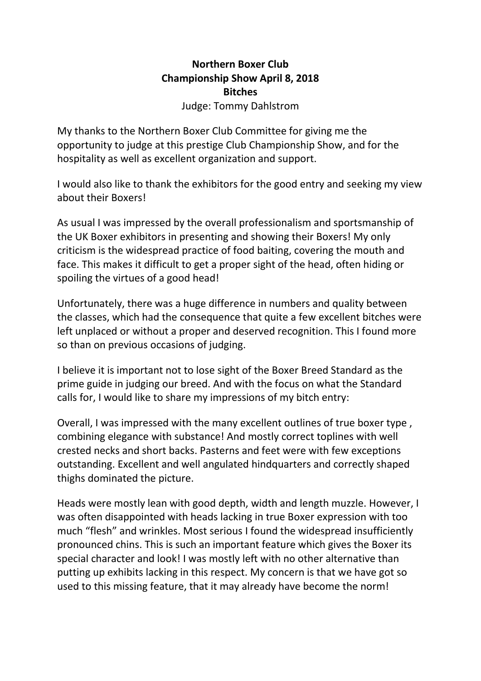# **Northern Boxer Club Championship Show April 8, 2018 Bitches**

Judge: Tommy Dahlstrom

My thanks to the Northern Boxer Club Committee for giving me the opportunity to judge at this prestige Club Championship Show, and for the hospitality as well as excellent organization and support.

I would also like to thank the exhibitors for the good entry and seeking my view about their Boxers!

As usual I was impressed by the overall professionalism and sportsmanship of the UK Boxer exhibitors in presenting and showing their Boxers! My only criticism is the widespread practice of food baiting, covering the mouth and face. This makes it difficult to get a proper sight of the head, often hiding or spoiling the virtues of a good head!

Unfortunately, there was a huge difference in numbers and quality between the classes, which had the consequence that quite a few excellent bitches were left unplaced or without a proper and deserved recognition. This I found more so than on previous occasions of judging.

I believe it is important not to lose sight of the Boxer Breed Standard as the prime guide in judging our breed. And with the focus on what the Standard calls for, I would like to share my impressions of my bitch entry:

Overall, I was impressed with the many excellent outlines of true boxer type , combining elegance with substance! And mostly correct toplines with well crested necks and short backs. Pasterns and feet were with few exceptions outstanding. Excellent and well angulated hindquarters and correctly shaped thighs dominated the picture.

Heads were mostly lean with good depth, width and length muzzle. However, I was often disappointed with heads lacking in true Boxer expression with too much "flesh" and wrinkles. Most serious I found the widespread insufficiently pronounced chins. This is such an important feature which gives the Boxer its special character and look! I was mostly left with no other alternative than putting up exhibits lacking in this respect. My concern is that we have got so used to this missing feature, that it may already have become the norm!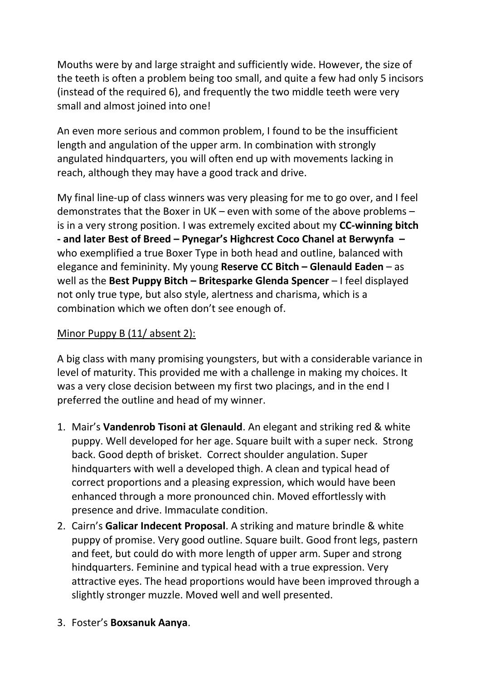Mouths were by and large straight and sufficiently wide. However, the size of the teeth is often a problem being too small, and quite a few had only 5 incisors (instead of the required 6), and frequently the two middle teeth were very small and almost joined into one!

An even more serious and common problem, I found to be the insufficient length and angulation of the upper arm. In combination with strongly angulated hindquarters, you will often end up with movements lacking in reach, although they may have a good track and drive.

My final line-up of class winners was very pleasing for me to go over, and I feel demonstrates that the Boxer in UK – even with some of the above problems – is in a very strong position. I was extremely excited about my **CC-winning bitch - and later Best of Breed – Pynegar's Highcrest Coco Chanel at Berwynfa –** who exemplified a true Boxer Type in both head and outline, balanced with elegance and femininity. My young **Reserve CC Bitch – Glenauld Eaden** – as well as the **Best Puppy Bitch – Britesparke Glenda Spencer** – I feel displayed not only true type, but also style, alertness and charisma, which is a combination which we often don't see enough of.

# Minor Puppy B (11/ absent 2):

A big class with many promising youngsters, but with a considerable variance in level of maturity. This provided me with a challenge in making my choices. It was a very close decision between my first two placings, and in the end I preferred the outline and head of my winner.

- 1. Mair's **Vandenrob Tisoni at Glenauld**. An elegant and striking red & white puppy. Well developed for her age. Square built with a super neck. Strong back. Good depth of brisket. Correct shoulder angulation. Super hindquarters with well a developed thigh. A clean and typical head of correct proportions and a pleasing expression, which would have been enhanced through a more pronounced chin. Moved effortlessly with presence and drive. Immaculate condition.
- 2. Cairn's **Galicar Indecent Proposal**. A striking and mature brindle & white puppy of promise. Very good outline. Square built. Good front legs, pastern and feet, but could do with more length of upper arm. Super and strong hindquarters. Feminine and typical head with a true expression. Very attractive eyes. The head proportions would have been improved through a slightly stronger muzzle. Moved well and well presented.
- 3. Foster's **Boxsanuk Aanya**.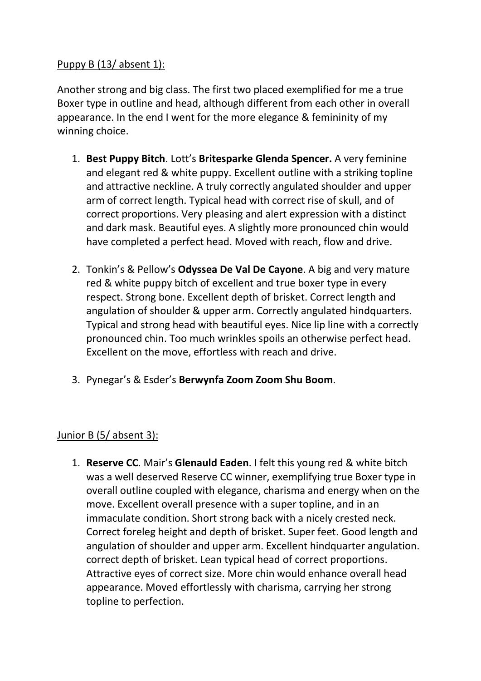### Puppy B (13/ absent 1):

Another strong and big class. The first two placed exemplified for me a true Boxer type in outline and head, although different from each other in overall appearance. In the end I went for the more elegance & femininity of my winning choice.

- 1. **Best Puppy Bitch**. Lott's **Britesparke Glenda Spencer.** A very feminine and elegant red & white puppy. Excellent outline with a striking topline and attractive neckline. A truly correctly angulated shoulder and upper arm of correct length. Typical head with correct rise of skull, and of correct proportions. Very pleasing and alert expression with a distinct and dark mask. Beautiful eyes. A slightly more pronounced chin would have completed a perfect head. Moved with reach, flow and drive.
- 2. Tonkin's & Pellow's **Odyssea De Val De Cayone**. A big and very mature red & white puppy bitch of excellent and true boxer type in every respect. Strong bone. Excellent depth of brisket. Correct length and angulation of shoulder & upper arm. Correctly angulated hindquarters. Typical and strong head with beautiful eyes. Nice lip line with a correctly pronounced chin. Too much wrinkles spoils an otherwise perfect head. Excellent on the move, effortless with reach and drive.
- 3. Pynegar's & Esder's **Berwynfa Zoom Zoom Shu Boom**.

#### Junior B (5/ absent 3):

1. **Reserve CC**. Mair's **Glenauld Eaden**. I felt this young red & white bitch was a well deserved Reserve CC winner, exemplifying true Boxer type in overall outline coupled with elegance, charisma and energy when on the move. Excellent overall presence with a super topline, and in an immaculate condition. Short strong back with a nicely crested neck. Correct foreleg height and depth of brisket. Super feet. Good length and angulation of shoulder and upper arm. Excellent hindquarter angulation. correct depth of brisket. Lean typical head of correct proportions. Attractive eyes of correct size. More chin would enhance overall head appearance. Moved effortlessly with charisma, carrying her strong topline to perfection.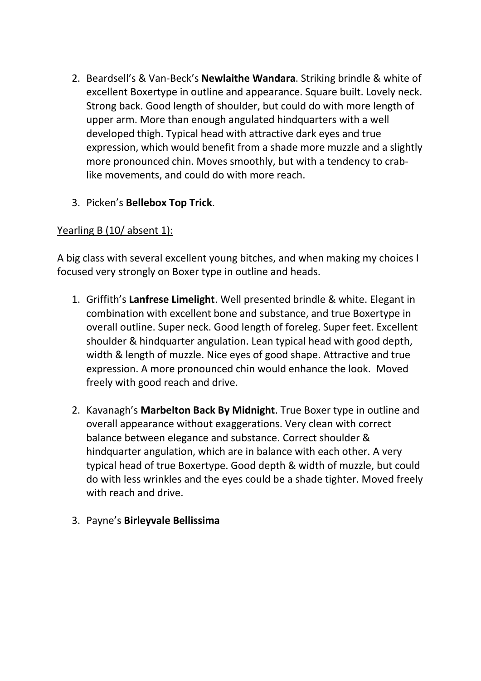- 2. Beardsell's & Van-Beck's **Newlaithe Wandara**. Striking brindle & white of excellent Boxertype in outline and appearance. Square built. Lovely neck. Strong back. Good length of shoulder, but could do with more length of upper arm. More than enough angulated hindquarters with a well developed thigh. Typical head with attractive dark eyes and true expression, which would benefit from a shade more muzzle and a slightly more pronounced chin. Moves smoothly, but with a tendency to crablike movements, and could do with more reach.
- 3. Picken's **Bellebox Top Trick**.

# Yearling B (10/ absent 1):

A big class with several excellent young bitches, and when making my choices I focused very strongly on Boxer type in outline and heads.

- 1. Griffith's **Lanfrese Limelight**. Well presented brindle & white. Elegant in combination with excellent bone and substance, and true Boxertype in overall outline. Super neck. Good length of foreleg. Super feet. Excellent shoulder & hindquarter angulation. Lean typical head with good depth, width & length of muzzle. Nice eyes of good shape. Attractive and true expression. A more pronounced chin would enhance the look. Moved freely with good reach and drive.
- 2. Kavanagh's **Marbelton Back By Midnight**. True Boxer type in outline and overall appearance without exaggerations. Very clean with correct balance between elegance and substance. Correct shoulder & hindquarter angulation, which are in balance with each other. A very typical head of true Boxertype. Good depth & width of muzzle, but could do with less wrinkles and the eyes could be a shade tighter. Moved freely with reach and drive.
- 3. Payne's **Birleyvale Bellissima**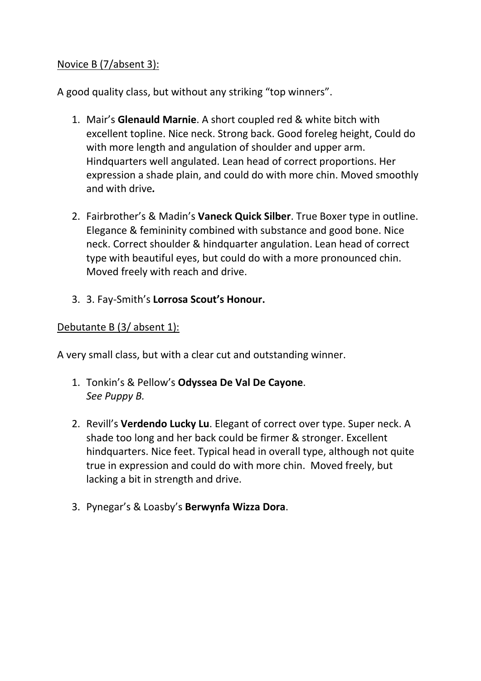#### Novice B (7/absent 3):

A good quality class, but without any striking "top winners".

- 1. Mair's **Glenauld Marnie**. A short coupled red & white bitch with excellent topline. Nice neck. Strong back. Good foreleg height, Could do with more length and angulation of shoulder and upper arm. Hindquarters well angulated. Lean head of correct proportions. Her expression a shade plain, and could do with more chin. Moved smoothly and with drive*.*
- 2. Fairbrother's & Madin's **Vaneck Quick Silber**. True Boxer type in outline. Elegance & femininity combined with substance and good bone. Nice neck. Correct shoulder & hindquarter angulation. Lean head of correct type with beautiful eyes, but could do with a more pronounced chin. Moved freely with reach and drive.
- 3. 3. Fay-Smith's **Lorrosa Scout's Honour.**

#### Debutante B (3/ absent 1):

A very small class, but with a clear cut and outstanding winner.

- 1. Tonkin's & Pellow's **Odyssea De Val De Cayone**. *See Puppy B.*
- 2. Revill's **Verdendo Lucky Lu**. Elegant of correct over type. Super neck. A shade too long and her back could be firmer & stronger. Excellent hindquarters. Nice feet. Typical head in overall type, although not quite true in expression and could do with more chin. Moved freely, but lacking a bit in strength and drive.
- 3. Pynegar's & Loasby's **Berwynfa Wizza Dora**.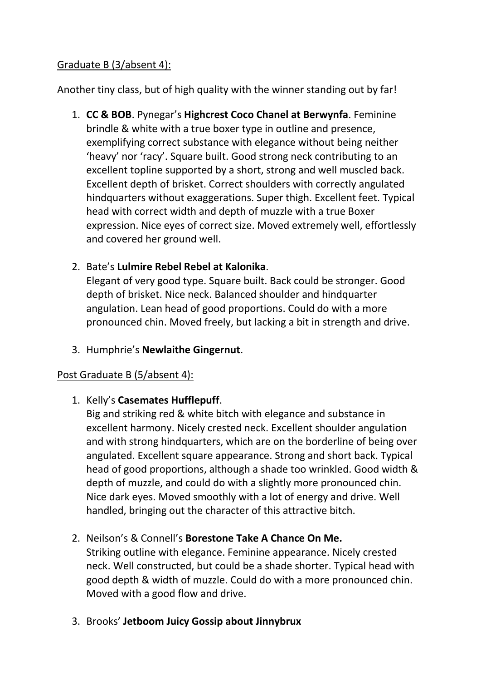#### Graduate B (3/absent 4):

Another tiny class, but of high quality with the winner standing out by far!

1. **CC & BOB**. Pynegar's **Highcrest Coco Chanel at Berwynfa**. Feminine brindle & white with a true boxer type in outline and presence, exemplifying correct substance with elegance without being neither 'heavy' nor 'racy'. Square built. Good strong neck contributing to an excellent topline supported by a short, strong and well muscled back. Excellent depth of brisket. Correct shoulders with correctly angulated hindquarters without exaggerations. Super thigh. Excellent feet. Typical head with correct width and depth of muzzle with a true Boxer expression. Nice eyes of correct size. Moved extremely well, effortlessly and covered her ground well.

# 2. Bate's **Lulmire Rebel Rebel at Kalonika**.

Elegant of very good type. Square built. Back could be stronger. Good depth of brisket. Nice neck. Balanced shoulder and hindquarter angulation. Lean head of good proportions. Could do with a more pronounced chin. Moved freely, but lacking a bit in strength and drive.

3. Humphrie's **Newlaithe Gingernut**.

#### Post Graduate B (5/absent 4):

#### 1. Kelly's **Casemates Hufflepuff**.

Big and striking red & white bitch with elegance and substance in excellent harmony. Nicely crested neck. Excellent shoulder angulation and with strong hindquarters, which are on the borderline of being over angulated. Excellent square appearance. Strong and short back. Typical head of good proportions, although a shade too wrinkled. Good width & depth of muzzle, and could do with a slightly more pronounced chin. Nice dark eyes. Moved smoothly with a lot of energy and drive. Well handled, bringing out the character of this attractive bitch.

#### 2. Neilson's & Connell's **Borestone Take A Chance On Me.**

Striking outline with elegance. Feminine appearance. Nicely crested neck. Well constructed, but could be a shade shorter. Typical head with good depth & width of muzzle. Could do with a more pronounced chin. Moved with a good flow and drive.

3. Brooks' **Jetboom Juicy Gossip about Jinnybrux**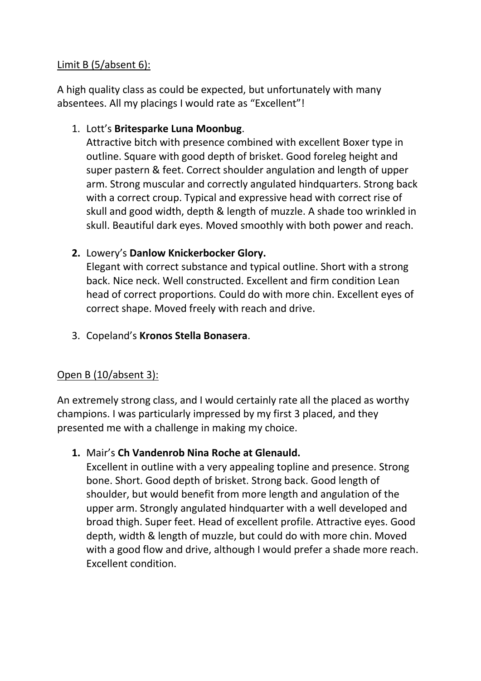#### Limit B (5/absent 6):

A high quality class as could be expected, but unfortunately with many absentees. All my placings I would rate as "Excellent"!

#### 1. Lott's **Britesparke Luna Moonbug**.

Attractive bitch with presence combined with excellent Boxer type in outline. Square with good depth of brisket. Good foreleg height and super pastern & feet. Correct shoulder angulation and length of upper arm. Strong muscular and correctly angulated hindquarters. Strong back with a correct croup. Typical and expressive head with correct rise of skull and good width, depth & length of muzzle. A shade too wrinkled in skull. Beautiful dark eyes. Moved smoothly with both power and reach.

#### **2.** Lowery's **Danlow Knickerbocker Glory.**

Elegant with correct substance and typical outline. Short with a strong back. Nice neck. Well constructed. Excellent and firm condition Lean head of correct proportions. Could do with more chin. Excellent eyes of correct shape. Moved freely with reach and drive.

3. Copeland's **Kronos Stella Bonasera**.

#### Open B (10/absent 3):

An extremely strong class, and I would certainly rate all the placed as worthy champions. I was particularly impressed by my first 3 placed, and they presented me with a challenge in making my choice.

#### **1.** Mair's **Ch Vandenrob Nina Roche at Glenauld.**

Excellent in outline with a very appealing topline and presence. Strong bone. Short. Good depth of brisket. Strong back. Good length of shoulder, but would benefit from more length and angulation of the upper arm. Strongly angulated hindquarter with a well developed and broad thigh. Super feet. Head of excellent profile. Attractive eyes. Good depth, width & length of muzzle, but could do with more chin. Moved with a good flow and drive, although I would prefer a shade more reach. Excellent condition.